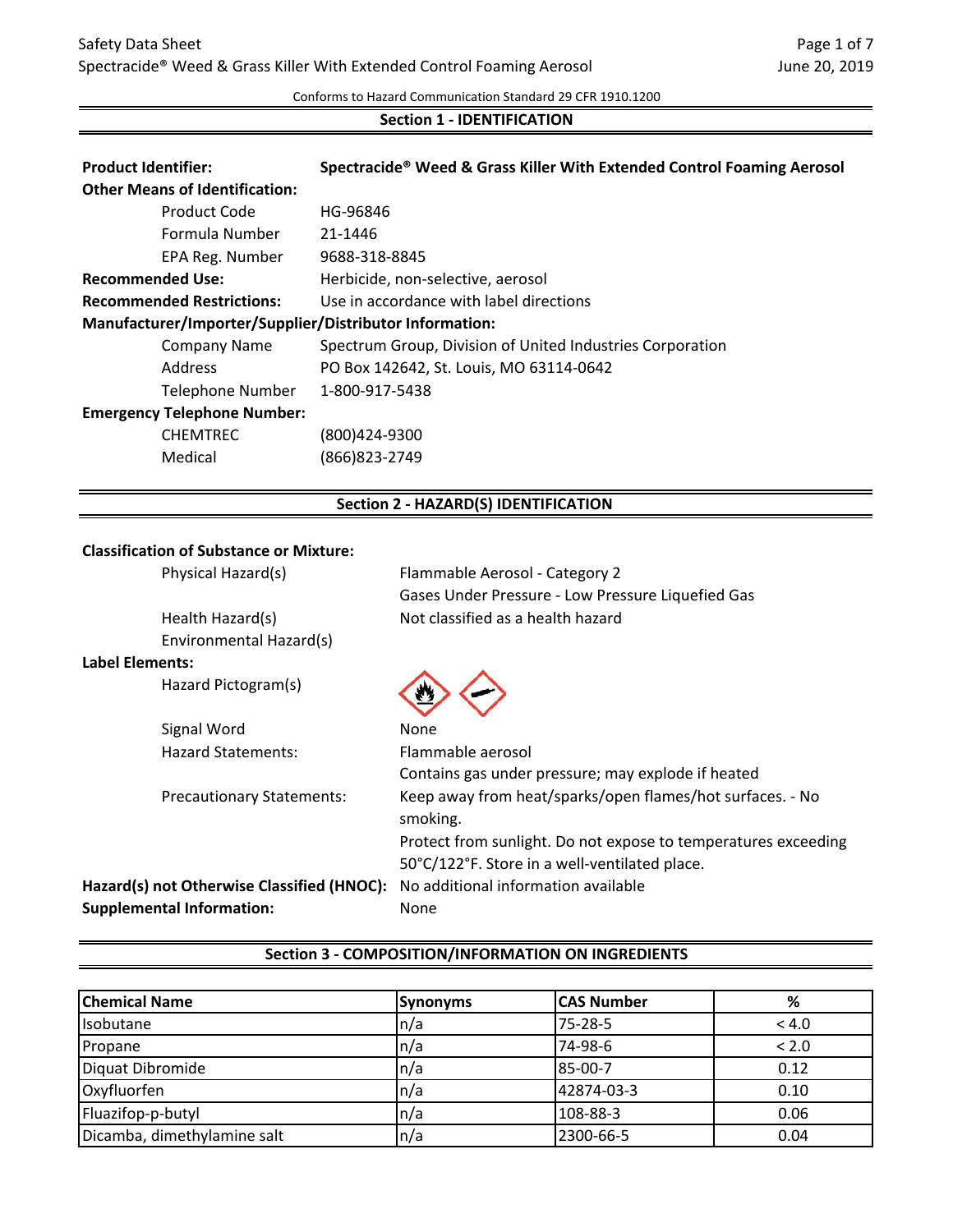#### Conforms to Hazard Communication Standard 29 CFR 1910.1200

# **Section 1 - IDENTIFICATION**

| HG-96846                                                  |  |  |
|-----------------------------------------------------------|--|--|
| 21-1446                                                   |  |  |
| 9688-318-8845                                             |  |  |
| Herbicide, non-selective, aerosol                         |  |  |
| Use in accordance with label directions                   |  |  |
| Manufacturer/Importer/Supplier/Distributor Information:   |  |  |
| Spectrum Group, Division of United Industries Corporation |  |  |
| PO Box 142642, St. Louis, MO 63114-0642                   |  |  |
| 1-800-917-5438                                            |  |  |
| <b>Emergency Telephone Number:</b>                        |  |  |
| (800)424-9300                                             |  |  |
| Medical<br>(866) 823-2749                                 |  |  |
| <b>Section 2 - HAZARD(S) IDENTIFICATION</b>               |  |  |
|                                                           |  |  |

### **Classification of Substance or Mixture:**

|                        | Physical Hazard(s)                         | Flammable Aerosol - Category 2                                                                                  |
|------------------------|--------------------------------------------|-----------------------------------------------------------------------------------------------------------------|
|                        |                                            | Gases Under Pressure - Low Pressure Liquefied Gas                                                               |
|                        | Health Hazard(s)                           | Not classified as a health hazard                                                                               |
|                        | Environmental Hazard(s)                    |                                                                                                                 |
| <b>Label Elements:</b> |                                            |                                                                                                                 |
|                        | Hazard Pictogram(s)                        |                                                                                                                 |
|                        | Signal Word                                | None                                                                                                            |
|                        | <b>Hazard Statements:</b>                  | Flammable aerosol                                                                                               |
|                        |                                            | Contains gas under pressure; may explode if heated                                                              |
|                        | <b>Precautionary Statements:</b>           | Keep away from heat/sparks/open flames/hot surfaces. - No<br>smoking.                                           |
|                        |                                            | Protect from sunlight. Do not expose to temperatures exceeding<br>50°C/122°F. Store in a well-ventilated place. |
|                        | Hazard(s) not Otherwise Classified (HNOC): | No additional information available                                                                             |
|                        | <b>Supplemental Information:</b>           | None                                                                                                            |
|                        |                                            |                                                                                                                 |

| <b>Chemical Name</b>        | <b>Synonyms</b> | <b>CAS Number</b> | %     |
|-----------------------------|-----------------|-------------------|-------|
| <b>I</b> sobutane           | In/a            | 75-28-5           | < 4.0 |
| Propane                     | In/a            | 74-98-6           | < 2.0 |
| Diquat Dibromide            | In/a            | 85-00-7           | 0.12  |
| Oxyfluorfen                 | ln/a            | 42874-03-3        | 0.10  |
| Fluazifop-p-butyl           | In/a            | 108-88-3          | 0.06  |
| Dicamba, dimethylamine salt | In/a            | 2300-66-5         | 0.04  |

#### **Section 3 - COMPOSITION/INFORMATION ON INGREDIENTS**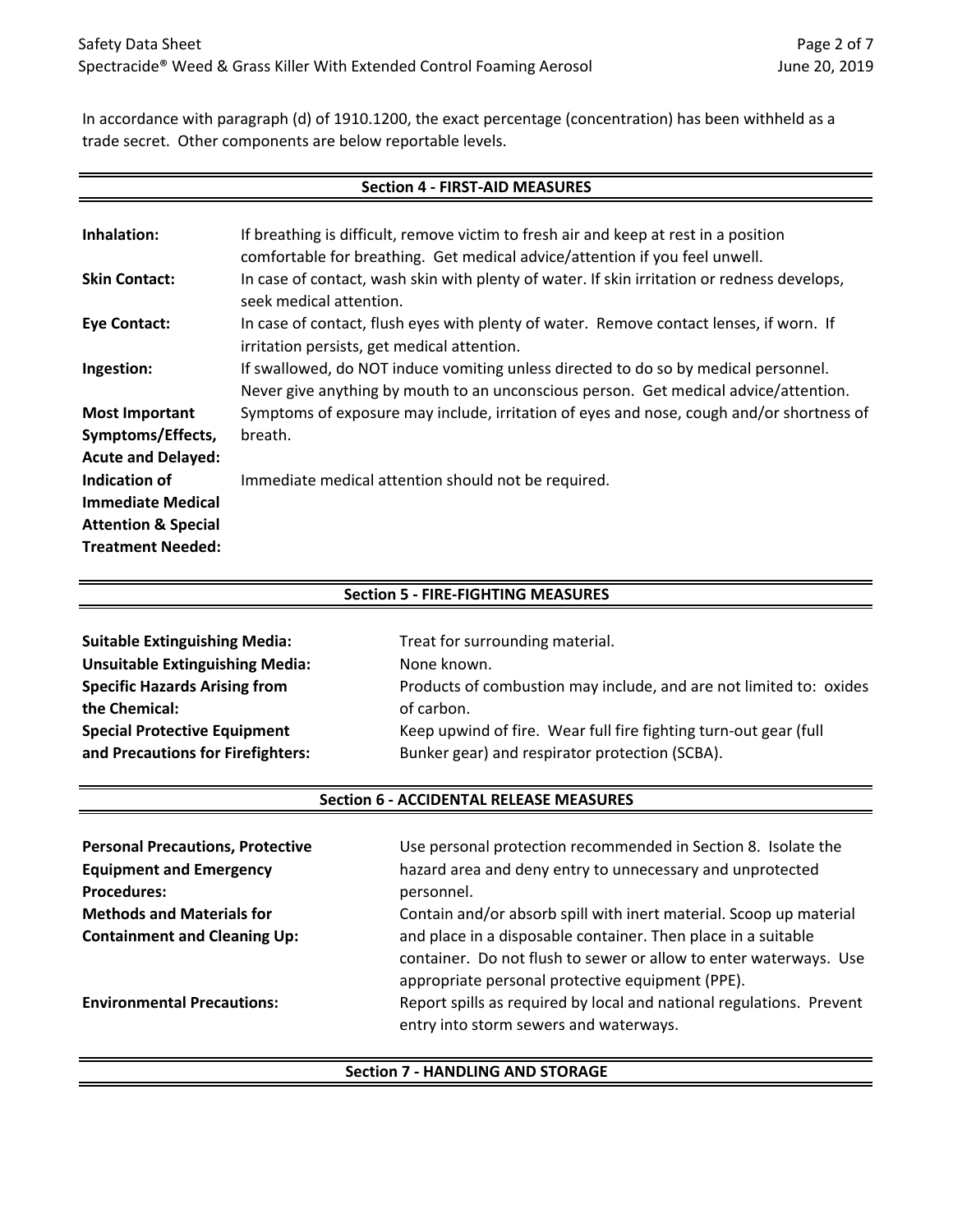In accordance with paragraph (d) of 1910.1200, the exact percentage (concentration) has been withheld as a trade secret. Other components are below reportable levels.

| <b>Section 4 - FIRST-AID MEASURES</b> |                                                                                                                                                                             |  |  |  |
|---------------------------------------|-----------------------------------------------------------------------------------------------------------------------------------------------------------------------------|--|--|--|
|                                       |                                                                                                                                                                             |  |  |  |
| Inhalation:                           | If breathing is difficult, remove victim to fresh air and keep at rest in a position                                                                                        |  |  |  |
|                                       | comfortable for breathing. Get medical advice/attention if you feel unwell.                                                                                                 |  |  |  |
| <b>Skin Contact:</b>                  | In case of contact, wash skin with plenty of water. If skin irritation or redness develops,<br>seek medical attention.                                                      |  |  |  |
| <b>Eye Contact:</b>                   | In case of contact, flush eyes with plenty of water. Remove contact lenses, if worn. If<br>irritation persists, get medical attention.                                      |  |  |  |
| Ingestion:                            | If swallowed, do NOT induce vomiting unless directed to do so by medical personnel.<br>Never give anything by mouth to an unconscious person. Get medical advice/attention. |  |  |  |
| <b>Most Important</b>                 | Symptoms of exposure may include, irritation of eyes and nose, cough and/or shortness of                                                                                    |  |  |  |
| Symptoms/Effects,                     | breath.                                                                                                                                                                     |  |  |  |
| <b>Acute and Delayed:</b>             |                                                                                                                                                                             |  |  |  |
| Indication of                         | Immediate medical attention should not be required.                                                                                                                         |  |  |  |
| <b>Immediate Medical</b>              |                                                                                                                                                                             |  |  |  |
| <b>Attention &amp; Special</b>        |                                                                                                                                                                             |  |  |  |
| <b>Treatment Needed:</b>              |                                                                                                                                                                             |  |  |  |

| <b>Section 5 - FIRE-FIGHTING MEASURES</b>                          |  |  |  |
|--------------------------------------------------------------------|--|--|--|
| <b>Suitable Extinguishing Media:</b>                               |  |  |  |
| Treat for surrounding material.                                    |  |  |  |
| None known.                                                        |  |  |  |
| Products of combustion may include, and are not limited to: oxides |  |  |  |
| of carbon.                                                         |  |  |  |
| Keep upwind of fire. Wear full fire fighting turn-out gear (full   |  |  |  |
| Bunker gear) and respirator protection (SCBA).                     |  |  |  |
|                                                                    |  |  |  |

#### **Section 6 - ACCIDENTAL RELEASE MEASURES**

| <b>Personal Precautions, Protective</b> | Use personal protection recommended in Section 8. Isolate the        |
|-----------------------------------------|----------------------------------------------------------------------|
| <b>Equipment and Emergency</b>          | hazard area and deny entry to unnecessary and unprotected            |
| <b>Procedures:</b>                      | personnel.                                                           |
| <b>Methods and Materials for</b>        | Contain and/or absorb spill with inert material. Scoop up material   |
| <b>Containment and Cleaning Up:</b>     | and place in a disposable container. Then place in a suitable        |
|                                         | container. Do not flush to sewer or allow to enter waterways. Use    |
|                                         | appropriate personal protective equipment (PPE).                     |
| <b>Environmental Precautions:</b>       | Report spills as required by local and national regulations. Prevent |
|                                         | entry into storm sewers and waterways.                               |

#### **Section 7 - HANDLING AND STORAGE**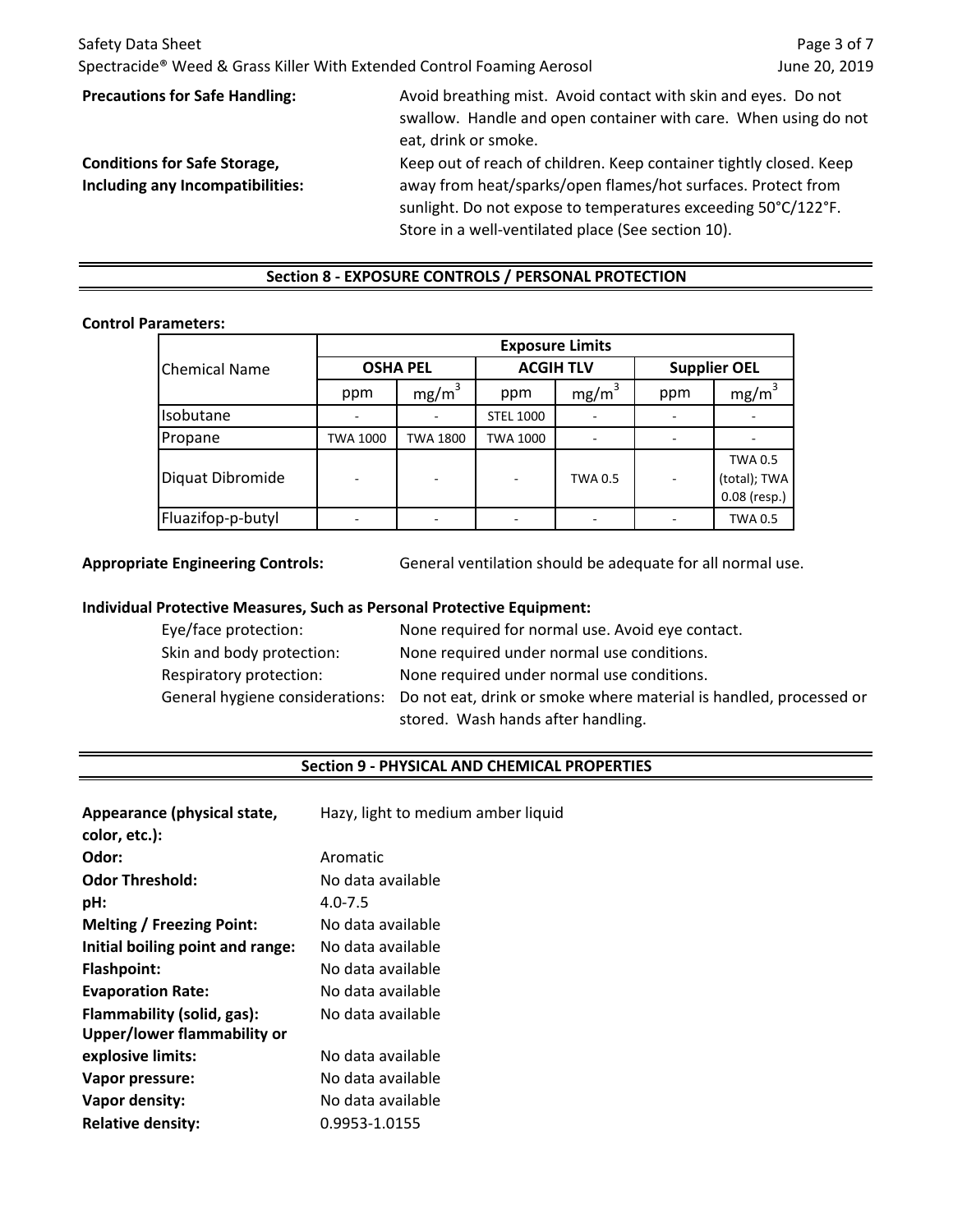| Safety Data Sheet<br>Spectracide <sup>®</sup> Weed & Grass Killer With Extended Control Foaming Aerosol |                                                                                                                                                           | Page 3 of 7<br>June 20, 2019 |
|---------------------------------------------------------------------------------------------------------|-----------------------------------------------------------------------------------------------------------------------------------------------------------|------------------------------|
| <b>Precautions for Safe Handling:</b>                                                                   | Avoid breathing mist. Avoid contact with skin and eyes. Do not<br>swallow. Handle and open container with care. When using do not<br>eat, drink or smoke. |                              |
| <b>Conditions for Safe Storage,</b>                                                                     | Keep out of reach of children. Keep container tightly closed. Keep                                                                                        |                              |
| Including any Incompatibilities:                                                                        | away from heat/sparks/open flames/hot surfaces. Protect from                                                                                              |                              |
|                                                                                                         | sunlight. Do not expose to temperatures exceeding 50°C/122°F.<br>Store in a well-ventilated place (See section 10).                                       |                              |

# **Section 8 - EXPOSURE CONTROLS / PERSONAL PROTECTION**

#### **Control Parameters:**

|                      | <b>Exposure Limits</b> |                   |                  |                   |                     |                                                |
|----------------------|------------------------|-------------------|------------------|-------------------|---------------------|------------------------------------------------|
| <b>Chemical Name</b> | <b>OSHA PEL</b>        |                   | <b>ACGIH TLV</b> |                   | <b>Supplier OEL</b> |                                                |
|                      | ppm                    | mg/m <sup>3</sup> | ppm              | mg/m <sup>3</sup> | ppm                 | mg/m <sup>3</sup>                              |
| Isobutane            |                        |                   | <b>STEL 1000</b> |                   |                     |                                                |
| Propane              | TWA 1000               | TWA 1800          | TWA 1000         |                   |                     |                                                |
| Diquat Dibromide     |                        |                   |                  | TWA 0.5           |                     | <b>TWA 0.5</b><br>(total); TWA<br>0.08 (resp.) |
| Fluazifop-p-butyl    |                        |                   |                  |                   |                     | <b>TWA 0.5</b>                                 |

**Appropriate Engineering Controls:** General ventilation should be adequate for all normal use.

### **Individual Protective Measures, Such as Personal Protective Equipment:**

| Eye/face protection:      | None required for normal use. Avoid eye contact.                                                   |
|---------------------------|----------------------------------------------------------------------------------------------------|
| Skin and body protection: | None required under normal use conditions.                                                         |
| Respiratory protection:   | None required under normal use conditions.                                                         |
|                           | General hygiene considerations: Do not eat, drink or smoke where material is handled, processed or |
|                           | stored. Wash hands after handling.                                                                 |

# **Section 9 - PHYSICAL AND CHEMICAL PROPERTIES**

| Appearance (physical state,<br>color, etc.): | Hazy, light to medium amber liquid |
|----------------------------------------------|------------------------------------|
| Odor:                                        | Aromatic                           |
| <b>Odor Threshold:</b>                       | No data available                  |
| pH:                                          | $4.0 - 7.5$                        |
| <b>Melting / Freezing Point:</b>             | No data available                  |
| Initial boiling point and range:             | No data available                  |
| <b>Flashpoint:</b>                           | No data available                  |
| <b>Evaporation Rate:</b>                     | No data available                  |
| Flammability (solid, gas):                   | No data available                  |
| Upper/lower flammability or                  |                                    |
| explosive limits:                            | No data available                  |
| Vapor pressure:                              | No data available                  |
| Vapor density:                               | No data available                  |
| <b>Relative density:</b>                     | 0.9953-1.0155                      |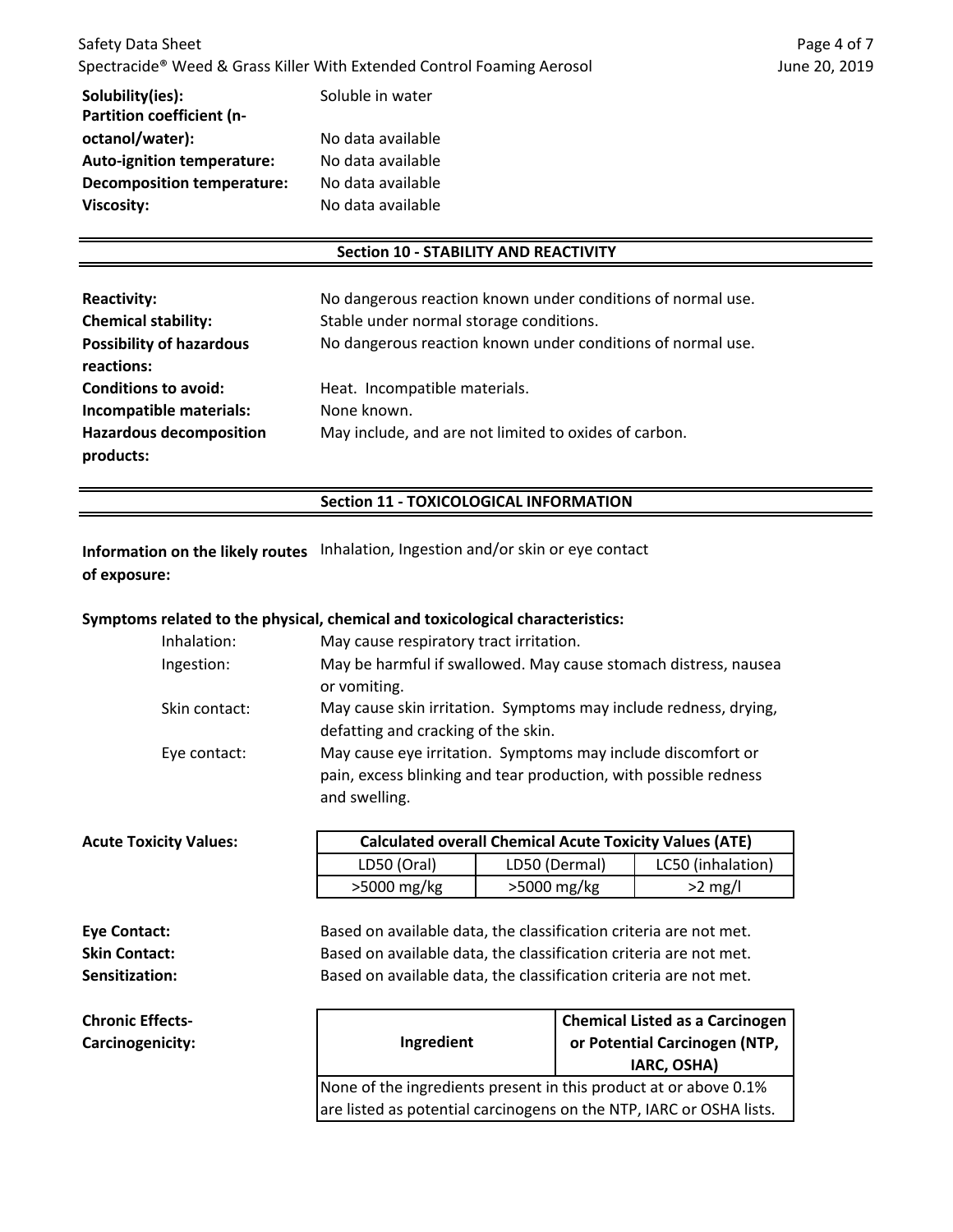| Solubility(ies):                  | Soluble in water  |
|-----------------------------------|-------------------|
| Partition coefficient (n-         |                   |
| octanol/water):                   | No data available |
| <b>Auto-ignition temperature:</b> | No data available |
| <b>Decomposition temperature:</b> | No data available |
| <b>Viscosity:</b>                 | No data available |
|                                   |                   |

**Carcinogenicity:**

#### **Section 10 - STABILITY AND REACTIVITY**

| <b>Reactivity:</b>              | No dangerous reaction known under conditions of normal use. |
|---------------------------------|-------------------------------------------------------------|
| <b>Chemical stability:</b>      | Stable under normal storage conditions.                     |
| <b>Possibility of hazardous</b> | No dangerous reaction known under conditions of normal use. |
| reactions:                      |                                                             |
| <b>Conditions to avoid:</b>     | Heat. Incompatible materials.                               |
| Incompatible materials:         | None known.                                                 |
| <b>Hazardous decomposition</b>  | May include, and are not limited to oxides of carbon.       |
| products:                       |                                                             |

#### **Section 11 - TOXICOLOGICAL INFORMATION**

**Information on the likely routes** Inhalation, Ingestion and/or skin or eye contact **of exposure:**

### **Symptoms related to the physical, chemical and toxicological characteristics:**

| Inhalation:   | May cause respiratory tract irritation.                                                                                                           |
|---------------|---------------------------------------------------------------------------------------------------------------------------------------------------|
| Ingestion:    | May be harmful if swallowed. May cause stomach distress, nausea<br>or vomiting.                                                                   |
| Skin contact: | May cause skin irritation. Symptoms may include redness, drying,<br>defatting and cracking of the skin.                                           |
| Eye contact:  | May cause eye irritation. Symptoms may include discomfort or<br>pain, excess blinking and tear production, with possible redness<br>and swelling. |

| <b>Acute Toxicity Values:</b> |             | <b>Calculated overall Chemical Acute Toxicity Values (ATE)</b> |                   |  |
|-------------------------------|-------------|----------------------------------------------------------------|-------------------|--|
|                               | LD50 (Oral) | LD50 (Dermal)                                                  | LC50 (inhalation) |  |
|                               | >5000 mg/kg | $>5000$ mg/kg                                                  | $>2$ mg/l         |  |

| Eye Contact:            | Based on available data, the classification criteria are not met. |
|-------------------------|-------------------------------------------------------------------|
|                         |                                                                   |
| <b>Skin Contact:</b>    | Based on available data, the classification criteria are not met. |
| Sensitization:          | Based on available data, the classification criteria are not met. |
| <b>Chronic Effects-</b> | <b>Chemical Listed as a Carcinogo</b>                             |

| Ingredient                                                          | <b>Chemical Listed as a Carcinogen</b><br>or Potential Carcinogen (NTP,<br>IARC, OSHA) |
|---------------------------------------------------------------------|----------------------------------------------------------------------------------------|
| None of the ingredients present in this product at or above 0.1%    |                                                                                        |
| are listed as potential carcinogens on the NTP, IARC or OSHA lists. |                                                                                        |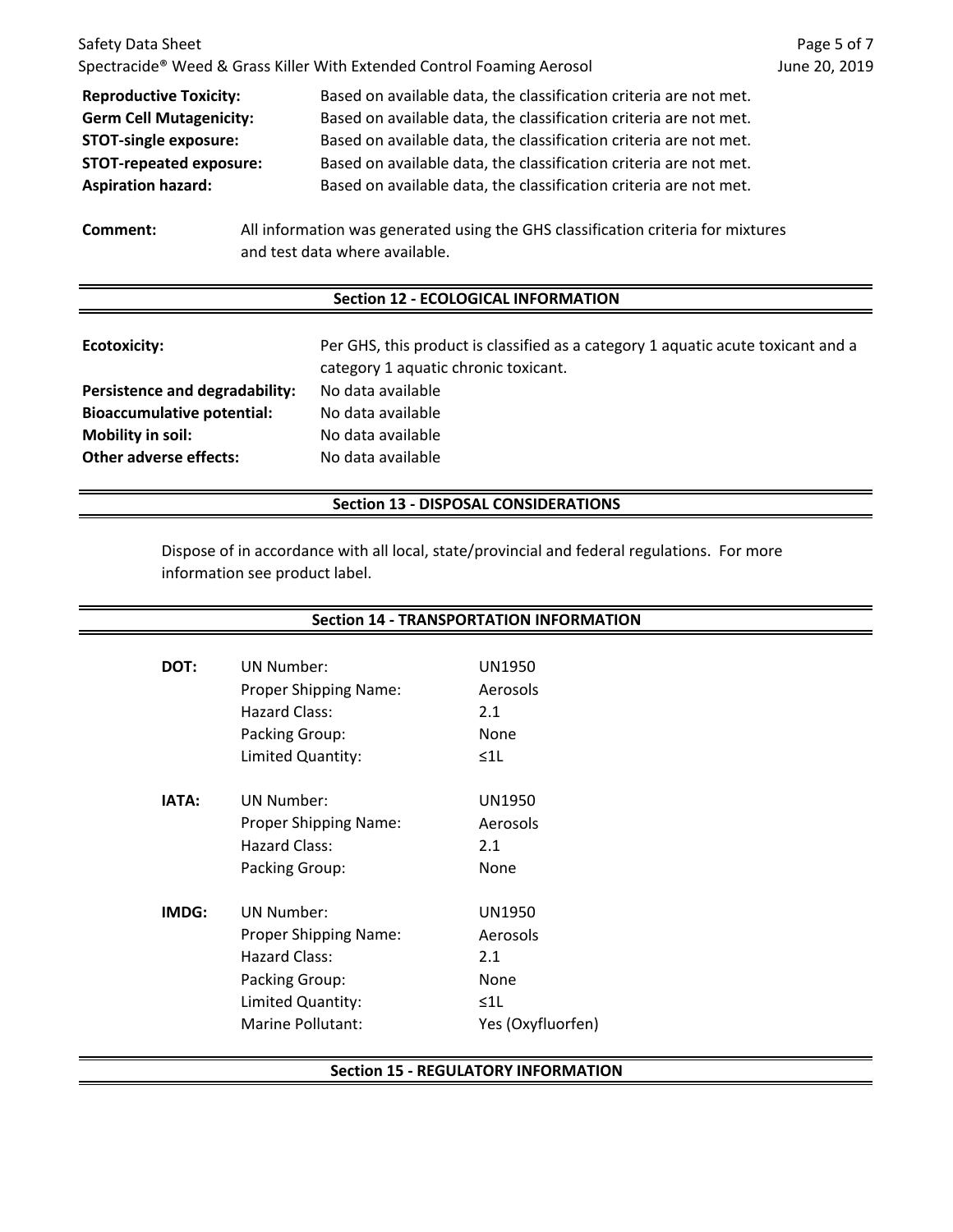| Safety Data Sheet                                                                                                              |                                                                                                                                        | Page 5 of 7   |  |
|--------------------------------------------------------------------------------------------------------------------------------|----------------------------------------------------------------------------------------------------------------------------------------|---------------|--|
|                                                                                                                                | Spectracide <sup>®</sup> Weed & Grass Killer With Extended Control Foaming Aerosol                                                     | June 20, 2019 |  |
| <b>Reproductive Toxicity:</b><br><b>Germ Cell Mutagenicity:</b>                                                                | Based on available data, the classification criteria are not met.<br>Based on available data, the classification criteria are not met. |               |  |
| <b>STOT-single exposure:</b>                                                                                                   | Based on available data, the classification criteria are not met.                                                                      |               |  |
| <b>STOT-repeated exposure:</b>                                                                                                 | Based on available data, the classification criteria are not met.                                                                      |               |  |
| <b>Aspiration hazard:</b>                                                                                                      | Based on available data, the classification criteria are not met.                                                                      |               |  |
| All information was generated using the GHS classification criteria for mixtures<br>Comment:<br>and test data where available. |                                                                                                                                        |               |  |
| <b>Section 12 - ECOLOGICAL INFORMATION</b>                                                                                     |                                                                                                                                        |               |  |
| Ecotoxicity:                                                                                                                   | Per GHS, this product is classified as a category 1 aquatic acute toxicant and a<br>category 1 aquatic chronic toxicant.               |               |  |
| Persistence and degradability:                                                                                                 | No data available                                                                                                                      |               |  |

**Bioaccumulative potential:** No data available **Mobility in soil:** No data available **Other adverse effects:** No data available

#### **Section 13 - DISPOSAL CONSIDERATIONS**

Dispose of in accordance with all local, state/provincial and federal regulations. For more information see product label.

| <b>Section 14 - TRANSPORTATION INFORMATION</b> |                              |                   |  |
|------------------------------------------------|------------------------------|-------------------|--|
|                                                |                              |                   |  |
| DOT:                                           | UN Number:                   | UN1950            |  |
|                                                | <b>Proper Shipping Name:</b> | Aerosols          |  |
|                                                | Hazard Class:                | 2.1               |  |
|                                                | Packing Group:               | None              |  |
|                                                | Limited Quantity:            | $\leq 1$          |  |
| IATA:                                          | <b>UN Number:</b>            | <b>UN1950</b>     |  |
|                                                | Proper Shipping Name:        | Aerosols          |  |
|                                                | Hazard Class:                | 2.1               |  |
|                                                | Packing Group:               | None              |  |
| IMDG:                                          | <b>UN Number:</b>            | <b>UN1950</b>     |  |
|                                                | <b>Proper Shipping Name:</b> | Aerosols          |  |
|                                                | <b>Hazard Class:</b>         | 2.1               |  |
|                                                | Packing Group:               | None              |  |
|                                                | Limited Quantity:            | $\leq 1$          |  |
|                                                | Marine Pollutant:            | Yes (Oxyfluorfen) |  |

#### **Section 15 - REGULATORY INFORMATION**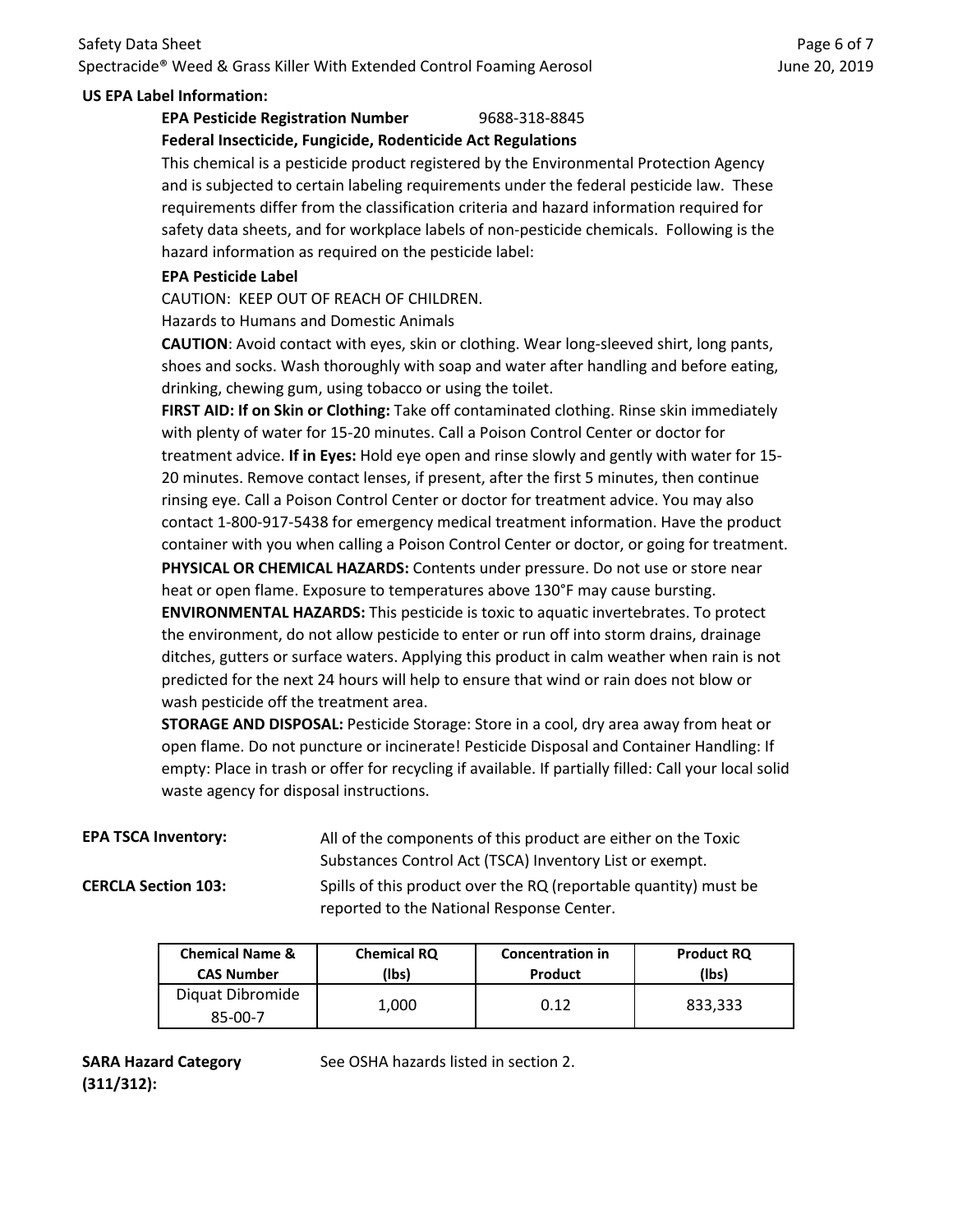# Safety Data Sheet Spectracide® Weed & Grass Killer With Extended Control Foaming Aerosol

### **US EPA Label Information:**

# **EPA Pesticide Registration Number** 9688-318-8845

# **Federal Insecticide, Fungicide, Rodenticide Act Regulations**

This chemical is a pesticide product registered by the Environmental Protection Agency and is subjected to certain labeling requirements under the federal pesticide law. These requirements differ from the classification criteria and hazard information required for safety data sheets, and for workplace labels of non-pesticide chemicals. Following is the hazard information as required on the pesticide label:

#### **EPA Pesticide Label**

CAUTION: KEEP OUT OF REACH OF CHILDREN.

Hazards to Humans and Domestic Animals

**CAUTION**: Avoid contact with eyes, skin or clothing. Wear long-sleeved shirt, long pants, shoes and socks. Wash thoroughly with soap and water after handling and before eating, drinking, chewing gum, using tobacco or using the toilet.

**FIRST AID: If on Skin or Clothing:** Take off contaminated clothing. Rinse skin immediately with plenty of water for 15-20 minutes. Call a Poison Control Center or doctor for treatment advice. **If in Eyes:** Hold eye open and rinse slowly and gently with water for 15- 20 minutes. Remove contact lenses, if present, after the first 5 minutes, then continue rinsing eye. Call a Poison Control Center or doctor for treatment advice. You may also contact 1-800-917-5438 for emergency medical treatment information. Have the product container with you when calling a Poison Control Center or doctor, or going for treatment. **ENVIRONMENTAL HAZARDS:** This pesticide is toxic to aquatic invertebrates. To protect **PHYSICAL OR CHEMICAL HAZARDS:** Contents under pressure. Do not use or store near heat or open flame. Exposure to temperatures above 130°F may cause bursting.

the environment, do not allow pesticide to enter or run off into storm drains, drainage ditches, gutters or surface waters. Applying this product in calm weather when rain is not predicted for the next 24 hours will help to ensure that wind or rain does not blow or wash pesticide off the treatment area.

**STORAGE AND DISPOSAL:** Pesticide Storage: Store in a cool, dry area away from heat or open flame. Do not puncture or incinerate! Pesticide Disposal and Container Handling: If empty: Place in trash or offer for recycling if available. If partially filled: Call your local solid waste agency for disposal instructions.

**EPA TSCA Inventory:** All of the components of this product are either on the Toxic Substances Control Act (TSCA) Inventory List or exempt.

**CERCLA Section 103:** Spills of this product over the RQ (reportable quantity) must be reported to the National Response Center.

| <b>Chemical Name &amp;</b>  | <b>Chemical RQ</b> | <b>Concentration in</b> | <b>Product RQ</b> |
|-----------------------------|--------------------|-------------------------|-------------------|
| <b>CAS Number</b>           | (lbs)              | <b>Product</b>          | (lbs)             |
| Diquat Dibromide<br>85-00-7 | 1,000              | 0.12                    | 833,333           |

**SARA Hazard Category (311/312):**

See OSHA hazards listed in section 2.